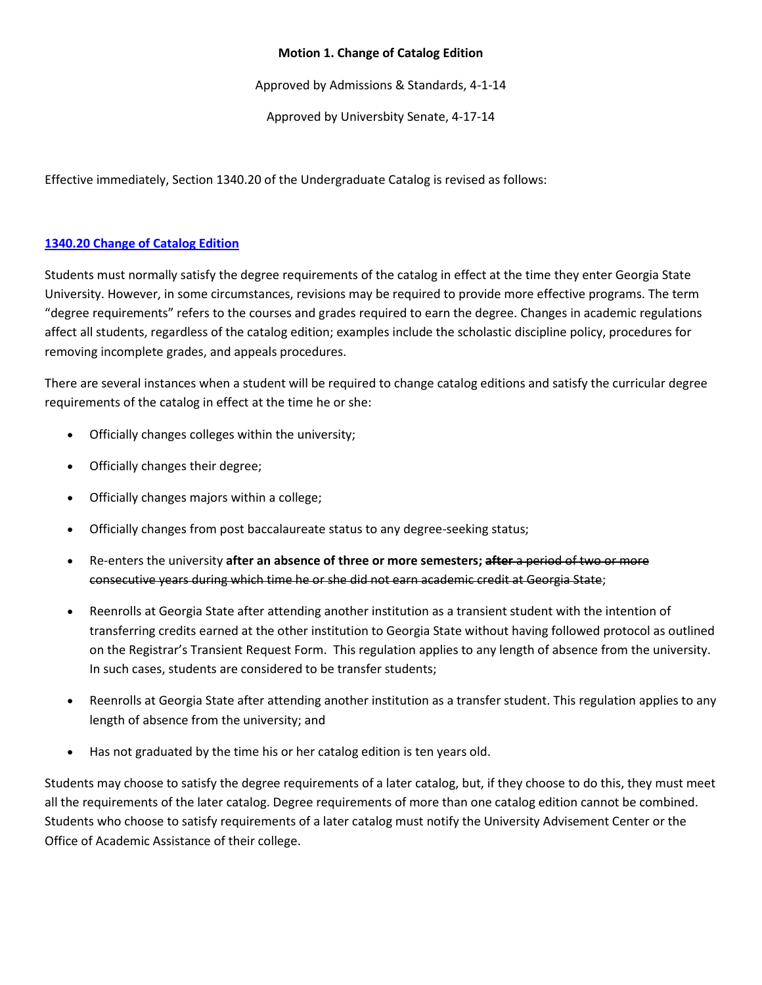## **Motion 1. Change of Catalog Edition**

Approved by Admissions & Standards, 4-1-14

Approved by Universbity Senate, 4-17-14

Effective immediately, Section 1340.20 of the Undergraduate Catalog is revised as follows:

## **[1340.20 Change of Catalog Edition](http://catalog.gsu.edu/undergraduate20132014/university-academic-regulations/#1340-20-change-of-catalog-edition)**

Students must normally satisfy the degree requirements of the catalog in effect at the time they enter Georgia State University. However, in some circumstances, revisions may be required to provide more effective programs. The term "degree requirements" refers to the courses and grades required to earn the degree. Changes in academic regulations affect all students, regardless of the catalog edition; examples include the scholastic discipline policy, procedures for removing incomplete grades, and appeals procedures.

There are several instances when a student will be required to change catalog editions and satisfy the curricular degree requirements of the catalog in effect at the time he or she:

- Officially changes colleges within the university;
- Officially changes their degree;
- Officially changes majors within a college;
- Officially changes from post baccalaureate status to any degree-seeking status;
- Re-enters the university **after an absence of three or more semesters; after** a period of two or more consecutive years during which time he or she did not earn academic credit at Georgia State;
- Reenrolls at Georgia State after attending another institution as a transient student with the intention of transferring credits earned at the other institution to Georgia State without having followed protocol as outlined on the Registrar's Transient Request Form. This regulation applies to any length of absence from the university. In such cases, students are considered to be transfer students;
- Reenrolls at Georgia State after attending another institution as a transfer student. This regulation applies to any length of absence from the university; and
- Has not graduated by the time his or her catalog edition is ten years old.

Students may choose to satisfy the degree requirements of a later catalog, but, if they choose to do this, they must meet all the requirements of the later catalog. Degree requirements of more than one catalog edition cannot be combined. Students who choose to satisfy requirements of a later catalog must notify the University Advisement Center or the Office of Academic Assistance of their college.